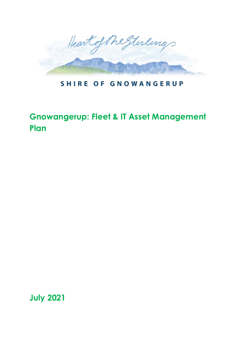

### **SHIRE OF GNOWANGERUP**

# **Gnowangerup: Fleet & IT Asset Management Plan**

**July 2021**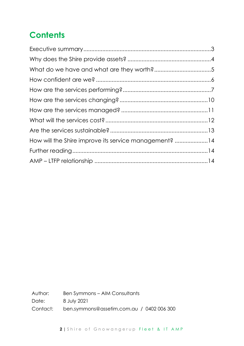# **Contents**

| How will the Shire improve its service management? 14 |  |
|-------------------------------------------------------|--|
|                                                       |  |
|                                                       |  |

Author: Ben Symmons – AIM Consultants Date: 8 July 2021 Contact: ben.symmons@assetim.com.au / 0402 006 300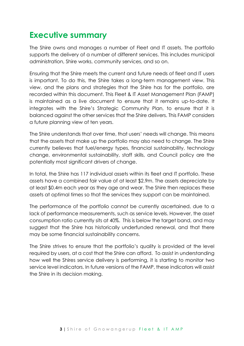## <span id="page-2-0"></span>**Executive summary**

The Shire owns and manages a number of Fleet and IT assets. The portfolio supports the delivery of a number of different services. This includes municipal administration, Shire works, community services, and so on.

Ensuring that the Shire meets the current and future needs of fleet and IT users is important. To do this, the Shire takes a long-term management view. This view, and the plans and strategies that the Shire has for the portfolio, are recorded within this document. This Fleet & IT Asset Management Plan (FAMP) is maintained as a live document to ensure that it remains up-to-date. It integrates with the Shire's Strategic Community Plan, to ensure that it is balanced against the other services that the Shire delivers. This FAMP considers a future planning view of ten years.

The Shire understands that over time, that users' needs will change. This means that the assets that make up the portfolio may also need to change. The Shire currently believes that fuel/energy types, financial sustainability, technology change, environmental sustainability, staff skills, and Council policy are the potentially most significant drivers of change.

In total, the Shire has 117 individual assets within its fleet and IT portfolio. These assets have a combined fair value of at least \$2.9m. The assets depreciate by at least \$0.4m each year as they age and wear. The Shire then replaces these assets at optimal times so that the services they support can be maintained.

The performance of the portfolio cannot be currently ascertained, due to a lack of performance measurements, such as service levels. However, the asset consumption ratio currently sits at 40%. This is below the target band, and may suggest that the Shire has historically underfunded renewal, and that there may be some financial sustainability concerns.

The Shire strives to ensure that the portfolio's quality is provided at the level required by users, at a cost that the Shire can afford. To assist in understanding how well the Shires service delivery is performing, it is starting to monitor two service level indicators. In future versions of the FAMP, these indicators will assist the Shire in its decision making.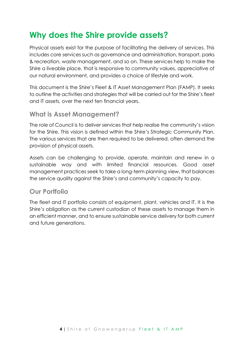## <span id="page-3-0"></span>**Why does the Shire provide assets?**

Physical assets exist for the purpose of facilitating the delivery of services. This includes core services such as governance and administration, transport, parks & recreation, waste management, and so on. These services help to make the Shire a liveable place, that is responsive to community values, appreciative of our natural environment, and provides a choice of lifestyle and work.

This document is the Shire's Fleet & IT Asset Management Plan (FAMP). It seeks to outline the activities and strategies that will be carried out for the Shire's fleet and IT assets, over the next ten financial years.

### **What is Asset Management?**

The role of Council is to deliver services that help realise the community's vision for the Shire. This vision is defined within the Shire's Strategic Community Plan. The various services that are then required to be delivered, often demand the provision of physical assets.

Assets can be challenging to provide, operate, maintain and renew in a sustainable way and with limited financial resources. Good asset management practices seek to take a long-term planning view, that balances the service quality against the Shire's and community's capacity to pay.

### **Our Portfolio**

The fleet and IT portfolio consists of equipment, plant, vehicles and IT. It is the Shire's obligation as the current custodian of these assets to manage them in an efficient manner, and to ensure sustainable service delivery for both current and future generations.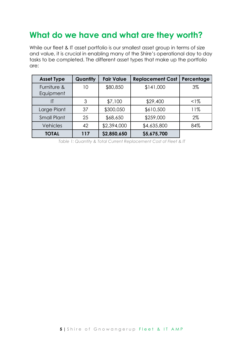## <span id="page-4-0"></span>**What do we have and what are they worth?**

While our fleet & IT asset portfolio is our smallest asset group in terms of size and value, it is crucial in enabling many of the Shire's operational day to day tasks to be completed. The different asset types that make up the portfolio are:

| <b>Asset Type</b>        | Quantity | <b>Fair Value</b> | <b>Replacement Cost</b> | Percentage |
|--------------------------|----------|-------------------|-------------------------|------------|
| Furniture &<br>Equipment | 10       | \$80,850          | \$141,000               | $3\%$      |
| IT                       | 3        | \$7,100           | \$29,400                | $1\%$      |
| Large Plant              | 37       | \$300,050         | \$610,500               | 11%        |
| <b>Small Plant</b>       | 25       | \$68,650          | \$259,000               | 2%         |
| Vehicles                 | 42       | \$2,394,000       | \$4,635,800             | 84%        |
| <b>TOTAL</b>             | 117      | \$2,850,650       | \$5,675,700             |            |

*Table 1: Quantity & Total Current Replacement Cost of Fleet & IT*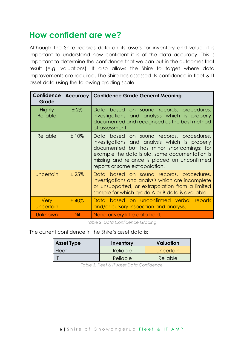## <span id="page-5-0"></span>**How confident are we?**

Although the Shire records data on its assets for inventory and value, it is important to understand how confident it is of the data accuracy. This is important to determine the confidence that we can put in the outcomes that result (e.g. valuations). It also allows the Shire to target where data improvements are required. The Shire has assessed its confidence in fleet & IT asset data using the following grading scale.

| <b>Confidence</b><br>Grade       | <b>Accuracy</b> | <b>Confidence Grade General Meaning</b>                                                                                                                                                                                                                                      |
|----------------------------------|-----------------|------------------------------------------------------------------------------------------------------------------------------------------------------------------------------------------------------------------------------------------------------------------------------|
| <b>Highly</b><br><b>Reliable</b> | $±2\%$          | Data based on sound records, procedures,<br>investigations and analysis which is properly<br>documented and recognised as the best method<br>of assessment.                                                                                                                  |
| Reliable                         | $±10\%$         | Data based on sound records, procedures,<br>investigations and analysis which is properly<br>documented but has minor shortcomings; for<br>example the data is old, some documentation is<br>missing and reliance is placed on unconfirmed<br>reports or some extrapolation. |
| Uncertain                        | ±25%            | Data based on sound records, procedures,<br>investigations and analysis which are incomplete<br>or unsupported, or extrapolation from a limited<br>sample for which grade A or B data is available.                                                                          |
| <b>Very</b><br>Uncertain         | ±40%            | Data based on unconfirmed verbal reports<br>and/or cursory inspection and analysis.                                                                                                                                                                                          |
| Unknown                          | Nil             | None or very little data held.                                                                                                                                                                                                                                               |

*Table 2: Data Confidence Grading*

The current confidence in the Shire's asset data is:

| <b>Asset Type</b> | Valuation<br>Inventory |           |
|-------------------|------------------------|-----------|
| Fleet             | Reliable               | Uncertain |
|                   | Reliable               | Reliable  |

*Table 3: Fleet & IT Asset Data Confidence*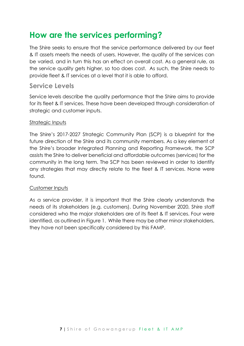## <span id="page-6-0"></span>**How are the services performing?**

The Shire seeks to ensure that the service performance delivered by our fleet & IT assets meets the needs of users. However, the quality of the services can be varied, and in turn this has an effect on overall cost. As a general rule, as the service quality gets higher, so too does cost. As such, the Shire needs to provide fleet & IT services at a level that it is able to afford.

### **Service Levels**

Service levels describe the quality performance that the Shire aims to provide for its fleet & IT services. These have been developed through consideration of strategic and customer inputs.

### Strategic Inputs

The Shire's 2017-2027 Strategic Community Plan (SCP) is a blueprint for the future direction of the Shire and its community members. As a key element of the Shire's broader Integrated Planning and Reporting Framework, the SCP assists the Shire to deliver beneficial and affordable outcomes (services) for the community in the long term. The SCP has been reviewed in order to identify any strategies that may directly relate to the fleet & IT services. None were found.

#### Customer Inputs

As a service provider, it is important that the Shire clearly understands the needs of its stakeholders (e.g. customers). During November 2020, Shire staff considered who the major stakeholders are of its fleet & IT services. Four were identified, as outlined in [Figure](#page-7-0) 1. While there may be other minor stakeholders, they have not been specifically considered by this FAMP.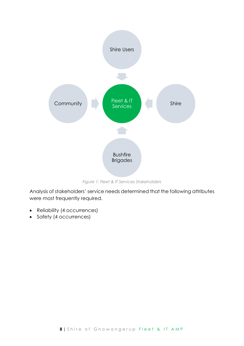

*Figure 1: Fleet & IT Services Stakeholders*

<span id="page-7-0"></span>Analysis of stakeholders' service needs determined that the following attributes were most frequently required.

- Reliability (4 occurrences)
- Safety (4 occurrences)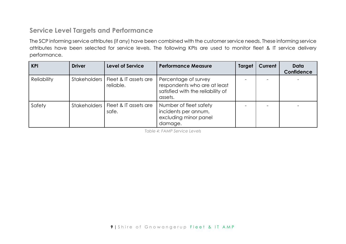### **Service Level Targets and Performance**

The SCP informing service attributes (if any) have been combined with the customer service needs. These informing service attributes have been selected for service levels. The following KPIs are used to monitor fleet & IT service delivery performance.

| KPI                | <b>Driver</b> | <b>Level of Service</b>                           | <b>Performance Measure</b>                                                                           | <b>Target</b> | Current | Data<br>Confidence |
|--------------------|---------------|---------------------------------------------------|------------------------------------------------------------------------------------------------------|---------------|---------|--------------------|
| <b>Reliability</b> |               | Stakeholders   Fleet & IT assets are<br>reliable. | Percentage of survey<br>respondents who are at least<br>satisfied with the reliability of<br>assets. |               |         |                    |
| Safety             |               | Stakeholders   Fleet & IT assets are<br>safe.     | Number of fleet safety<br>incidents per annum,<br>excluding minor panel<br>damage.                   |               |         |                    |

*Table 4: FAMP Service Levels*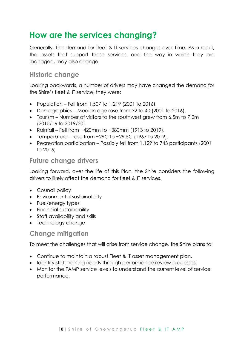## <span id="page-9-0"></span>**How are the services changing?**

Generally, the demand for fleet & IT services changes over time. As a result, the assets that support these services, and the way in which they are managed, may also change.

### **Historic change**

Looking backwards, a number of drivers may have changed the demand for the Shire's fleet & IT service, they were:

- Population Fell from 1,507 to 1,219 (2001 to 2016).
- Demographics Median age rose from 32 to 40 (2001 to 2016).
- Tourism Number of visitors to the southwest grew from 6.5m to 7.2m (2015/16 to 2019/20).
- Rainfall Fell from  $\sim$ 420mm to  $\sim$ 380mm (1913 to 2019).
- Temperature rose from  $\sim$ 29C to  $\sim$ 29.5C (1967 to 2019).
- Recreation participation Possibly fell from 1,129 to 743 participants (2001 to 2016)

### **Future change drivers**

Looking forward, over the life of this Plan, the Shire considers the following drivers to likely affect the demand for fleet & IT services.

- Council policy
- Environmental sustainability
- Fuel/energy types
- Financial sustainability
- Staff availability and skills
- Technology change

### **Change mitigation**

To meet the challenges that will arise from service change, the Shire plans to:

- Continue to maintain a robust Fleet & IT asset management plan.
- Identify staff training needs through performance review processes.
- Monitor the FAMP service levels to understand the current level of service performance.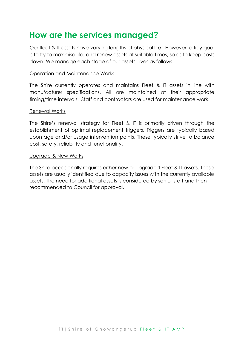### <span id="page-10-0"></span>**How are the services managed?**

Our fleet & IT assets have varying lengths of physical life. However, a key goal is to try to maximise life, and renew assets at suitable times, so as to keep costs down. We manage each stage of our assets' lives as follows.

#### Operation and Maintenance Works

The Shire currently operates and maintains Fleet & IT assets in line with manufacturer specifications. All are maintained at their appropriate timing/time intervals. Staff and contractors are used for maintenance work.

#### Renewal Works

The Shire's renewal strategy for Fleet & IT is primarily driven through the establishment of optimal replacement triggers. Triggers are typically based upon age and/or usage intervention points. These typically strive to balance cost, safety, reliability and functionality.

#### Upgrade & New Works

The Shire occasionally requires either new or upgraded Fleet & IT assets. These assets are usually identified due to capacity issues with the currently available assets. The need for additional assets is considered by senior staff and then recommended to Council for approval.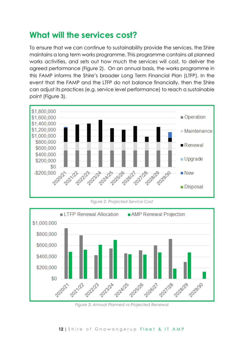## <span id="page-11-0"></span>**What will the services cost?**

To ensure that we can continue to sustainability provide the services, the Shire maintains a long term works programme. This programme contains all planned works activities, and sets out how much the services will cost, to deliver the agreed performance [\(Figure](#page-11-1) 2). On an annual basis, the works programme in this FAMP informs the Shire's broader Long Term Financial Plan (LTFP). In the event that the FAMP and the LTFP do not balance financially, then the Shire can adjust its practices (e.g. service level performance) to reach a sustainable point [\(Figure](#page-11-2) 3).





<span id="page-11-1"></span>

<span id="page-11-2"></span>*Figure 3: Annual Planned vs Projected Renewal*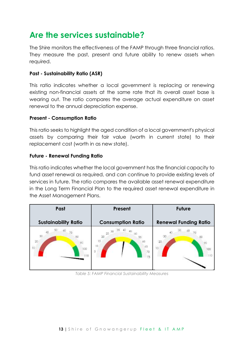## <span id="page-12-0"></span>**Are the services sustainable?**

The Shire monitors the effectiveness of the FAMP through three financial ratios. They measure the past, present and future ability to renew assets when required.

### **Past - Sustainability Ratio (ASR)**

This ratio indicates whether a local government is replacing or renewing existing non-financial assets at the same rate that its overall asset base is wearing out. The ratio compares the average actual expenditure on asset renewal to the annual depreciation expense.

#### **Present - Consumption Ratio**

This ratio seeks to highlight the aged condition of a local government's physical assets by comparing their fair value (worth in current state) to their replacement cost (worth in as new state).

#### **Future - Renewal Funding Ratio**

This ratio indicates whether the local government has the financial capacity to fund asset renewal as required, and can continue to provide existing levels of services in future. The ratio compares the available asset renewal expenditure in the Long Term Financial Plan to the required asset renewal expenditure in the Asset Management Plans.

| Past                                            | <b>Future</b><br>Present                                                   |                              |
|-------------------------------------------------|----------------------------------------------------------------------------|------------------------------|
| <b>Sustainability Ratio</b>                     | <b>Consumption Ratio</b>                                                   | <b>Renewal Funding Ratio</b> |
| 30<br>BO <sub></sub><br>20<br>TO.<br>100<br>110 | 30<br>25<br>50<br>20<br>15<br>68<br>10<br>65<br>5<br>70<br>$\overline{75}$ | -30<br>20<br>10<br>100       |

*Table 5: FAMP Financial Sustainability Measures*